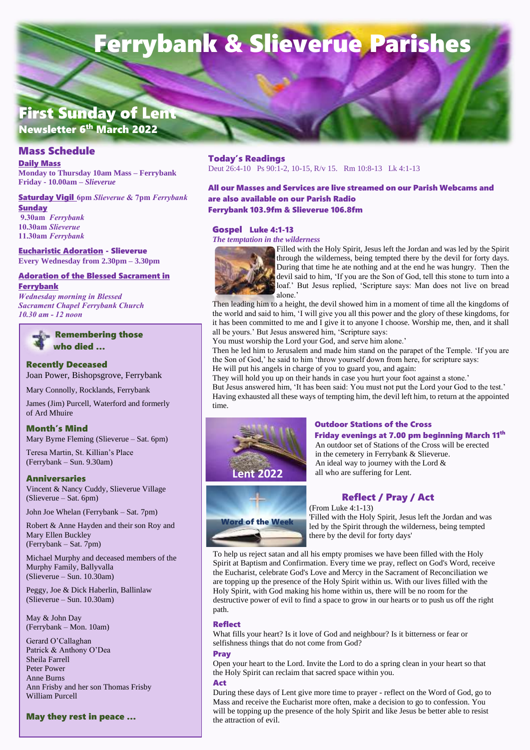# Ferrybank & Slieverue Parishes

## First Sunday of Lent Newsletter 6<sup>th</sup> March 2022

## Mass Schedule

Daily Mass **Monday to Thursday 10am Mass – Ferrybank Friday - 10.00am –** *Slieverue*

Saturday Vigil **6pm** *Slieverue* **& 7pm** *Ferrybank* **Sunday** 

**9.30am** *Ferrybank*  **10.30am** *Slieverue*  **11.30am** *Ferrybank*

Eucharistic Adoration - Slieverue **Every Wednesday from 2.30pm – 3.30pm**

#### Adoration of the Blessed Sacrament in Ferrybank

*Wednesday morning in Blessed Sacrament Chapel Ferrybank Church 10.30 am - 12 noon*

## **Remembering those** who died …

## Recently Deceased

Joan Power, Bishopsgrove, Ferrybank

Mary Connolly, Rocklands, Ferrybank

James (Jim) Purcell, Waterford and formerly of Ard Mhuire

## Month's Mind

Mary Byrne Fleming (Slieverue – Sat. 6pm)

Teresa Martin, St. Killian's Place (Ferrybank – Sun. 9.30am)

#### **Anniversaries**

Vincent & Nancy Cuddy, Slieverue Village (Slieverue – Sat. 6pm)

John Joe Whelan (Ferrybank – Sat. 7pm)

Robert & Anne Hayden and their son Roy and Mary Ellen Buckley (Ferrybank – Sat. 7pm)

Michael Murphy and deceased members of the Murphy Family, Ballyvalla (Slieverue – Sun. 10.30am)

Peggy, Joe & Dick Haberlin, Ballinlaw (Slieverue – Sun. 10.30am)

May & John Day (Ferrybank – Mon. 10am)

Gerard O'Callaghan Patrick & Anthony O'Dea Sheila Farrell Peter Power Anne Burns Ann Frisby and her son Thomas Frisby William Purcell

## May they rest in peace …

Today's Readings

Deut 26:4-10 Ps 90:1-2, 10-15, R/v 15. Rm 10:8-13 Lk 4:1-13

All our Masses and Services are live streamed on our Parish Webcams and are also available on our Parish Radio Ferrybank 103.9fm & Slieverue 106.8fm

#### Gospel Luke 4:1-13

*The temptation in the wilderness*



Filled with the Holy Spirit, Jesus left the Jordan and was led by the Spirit through the wilderness, being tempted there by the devil for forty days. During that time he ate nothing and at the end he was hungry. Then the devil said to him, 'If you are the Son of God, tell this stone to turn into a loaf.' But Jesus replied, 'Scripture says: Man does not live on bread alone.'

Then leading him to a height, the devil showed him in a moment of time all the kingdoms of the world and said to him, 'I will give you all this power and the glory of these kingdoms, for it has been committed to me and I give it to anyone I choose. Worship me, then, and it shall all be yours.' But Jesus answered him, 'Scripture says:

You must worship the Lord your God, and serve him alone.'

Then he led him to Jerusalem and made him stand on the parapet of the Temple. 'If you are the Son of God,' he said to him 'throw yourself down from here, for scripture says: He will put his angels in charge of you to guard you, and again:

They will hold you up on their hands in case you hurt your foot against a stone.'

But Jesus answered him, 'It has been said: You must not put the Lord your God to the test.' Having exhausted all these ways of tempting him, the devil left him, to return at the appointed time.



## Outdoor Stations of the Cross

 Friday evenings at 7.00 pm beginning March 11th An outdoor set of Stations of the Cross will be erected in the cemetery in Ferrybank & Slieverue. An ideal way to journey with the Lord & all who are suffering for Lent.



## Reflect / Pray / Act

 (From Luke 4:1-13) 'Filled with the Holy Spirit, Jesus left the Jordan and was led by the Spirit through the wilderness, being tempted there by the devil for forty days'

To help us reject satan and all his empty promises we have been filled with the Holy Spirit at Baptism and Confirmation. Every time we pray, reflect on God's Word, receive the Eucharist, celebrate God's Love and Mercy in the Sacrament of Reconciliation we are topping up the presence of the Holy Spirit within us. With our lives filled with the Holy Spirit, with God making his home within us, there will be no room for the destructive power of evil to find a space to grow in our hearts or to push us off the right path.

#### Reflect

What fills your heart? Is it love of God and neighbour? Is it bitterness or fear or selfishness things that do not come from God?

## Pray

Open your heart to the Lord. Invite the Lord to do a spring clean in your heart so that the Holy Spirit can reclaim that sacred space within you.

#### Act

During these days of Lent give more time to prayer - reflect on the Word of God, go to Mass and receive the Eucharist more often, make a decision to go to confession. You will be topping up the presence of the holy Spirit and like Jesus be better able to resist the attraction of evil.